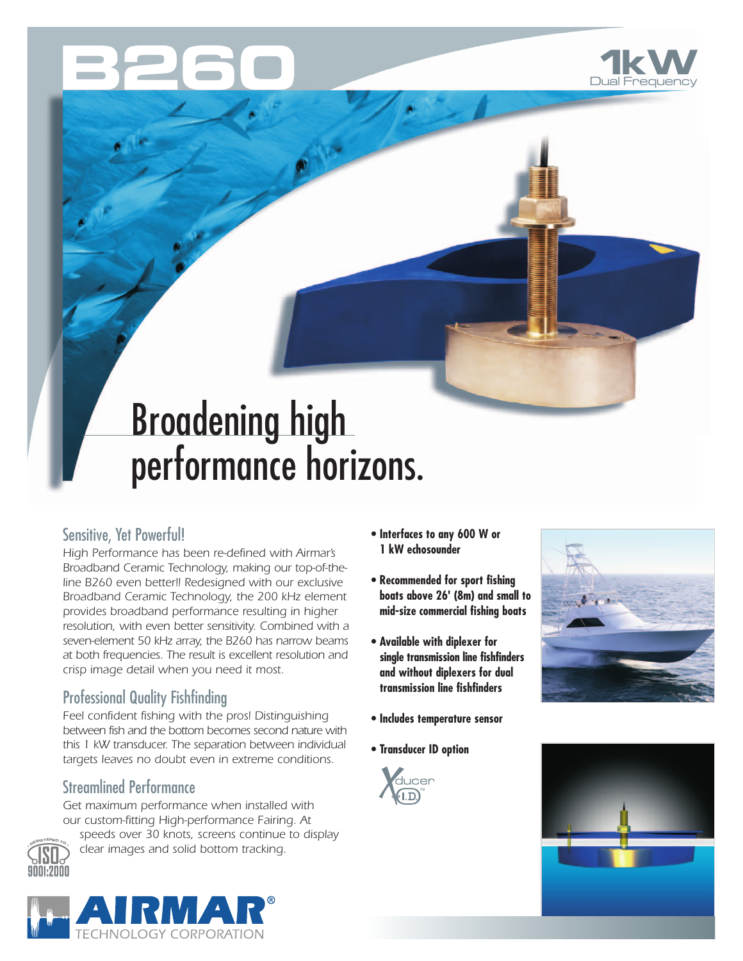



# Broadening high performance horizons.

#### Sensitive, Yet Powerful!

*High Performance has been re-defined with Airmar's Broadband Ceramic Technology, making our top-of-theline B260 even better!! Redesigned with our exclusive Broadband Ceramic Technology, the 200 kHz element provides broadband performance resulting in higher resolution, with even better sensitivity. Combined with a seven-element 50 kHz array, the B260 has narrow beams at both frequencies. The result is excellent resolution and crisp image detail when you need it most.*

## Professional Quality Fishfinding

*Feel confident fishing with the pros! Distinguishing between fish and the bottom becomes second nature with this 1 kW transducer. The separation between individual targets leaves no doubt even in extreme conditions.*

## Streamlined Performance

*Get maximum performance when installed with our custom-fitting High-performance Fairing. At* 



*speeds over 30 knots, screens continue to display clear images and solid bottom tracking.*

- **Interfaces to any 600 W or 1 kW echosounder**
- **Recommended for sport fishing boats above 26' (8m) and small to mid-size commercial fishing boats**
- **Available with diplexer for single transmission line fishfinders and without diplexers for dual transmission line fishfinders**
- **Includes temperature sensor**
- **Transducer ID option**